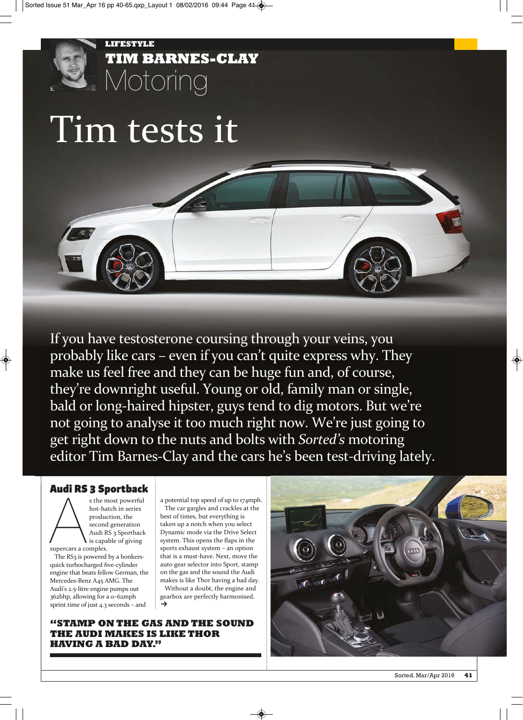

# Tim tests it

If you have testosterone coursing through your veins, you probably like cars – even if you can't quite express why. They make us feel free and they can be huge fun and, of course, they're downright useful. Young or old, family man or single, bald or long-haired hipster, guys tend to dig motors. But we're not going to analyse it too much right now. We're just going to get right down to the nuts and bolts with *Sorted's* motoring editor Tim Barnes-Clay and the cars he's been test-driving lately.

### **Audi RS 3 Sportback**

s the m<br>
hot-ha<br>
produce<br>
supercars a complex.<br>
The RS2 is nowered s the most powerful hot-hatch in series production, the second generation Audi RS 3 Sportback  $\mathbf{\hat{i}}$  is capable of giving

The RS<sub>3</sub> is powered by a bonkersquick turbocharged five-cylinder engine that beats fellow German, the Mercedes-Benz A45 AMG. The Audi's 2.5-litre engine pumps out 362bhp, allowing for a 0–62mph sprint time of just 4.3 seconds – and

a potential top speed of up to 174mph. The car gargles and crackles at the best of times, but everything is taken up a notch when you select Dynamic mode via the Drive Select system. This opens the flaps in the sports exhaust system – an option that is a must-have. Next, move the auto gear selector into Sport, stamp on the gas and the sound the Audi makes is like Thor having a bad day. Without a doubt, the engine and gearbox are perfectly harmonised.<br>→

**"STAMP ON THE GAS AND THE SOUND THE AUDI MAKES IS LIKE THOR HAVING A BAD DAY."**

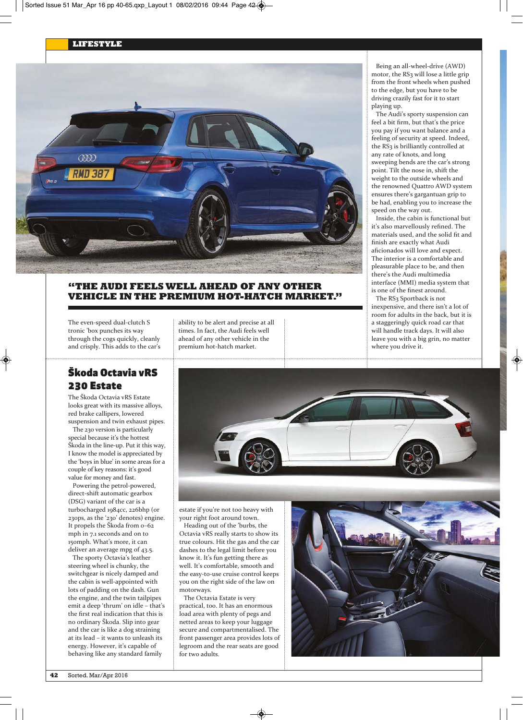

#### **"THE AUDI FEELS WELL AHEAD OF ANY OTHER VEHICLE IN THE PREMIUM HOT-HATCH MARKET."**

The even-speed dual-clutch S tronic 'box punches its way through the cogs quickly, cleanly and crisply. This adds to the car's

# **Škoda Octavia vRS 230 Estate**

The Škoda Octavia vRS Estate looks great with its massive alloys, red brake callipers, lowered suspension and twin exhaust pipes.

The 230 version is particularly special because it's the hottest Škoda in the line-up. Put it this way, I know the model is appreciated by the 'boys in blue' in some areas for a couple of key reasons: it's good value for money and fast.

Powering the petrol-powered, direct-shift automatic gearbox (DSG) variant of the car is a turbocharged 1984cc, 226bhp (or 230ps, as the '230' denotes) engine. It propels the Škoda from 0–62 mph in 7.1 seconds and on to 150mph. What's more, it can deliver an average mpg of 43.5.

The sporty Octavia's leather steering wheel is chunky, the switchgear is nicely damped and the cabin is well-appointed with lots of padding on the dash. Gun the engine, and the twin tailpipes emit a deep 'thrum' on idle – that's the first real indication that this is no ordinary Škoda. Slip into gear and the car is like a dog straining at its lead – it wants to unleash its energy. However, it's capable of behaving like any standard family

ability to be alert and precise at all times. In fact, the Audi feels well ahead of any other vehicle in the premium hot-hatch market.

Being an all-wheel-drive (AWD) motor, the RS3 will lose a little grip from the front wheels when pushed to the edge, but you have to be driving crazily fast for it to start playing up.

The Audi's sporty suspension can feel a bit firm, but that's the price you pay if you want balance and a feeling of security at speed. Indeed, the RS<sub>3</sub> is brilliantly controlled at any rate of knots, and long sweeping bends are the car's strong point. Tilt the nose in, shift the weight to the outside wheels and the renowned Quattro AWD system ensures there's gargantuan grip to be had, enabling you to increase the speed on the way out.

Inside, the cabin is functional but it's also marvellously refined. The materials used, and the solid fit and finish are exactly what Audi aficionados will love and expect. The interior is a comfortable and pleasurable place to be, and then there's the Audi multimedia interface (MMI) media system that is one of the finest around.

The RS<sub>3</sub> Sportback is not inexpensive, and there isn't a lot of room for adults in the back, but it is a staggeringly quick road car that will handle track days. It will also leave you with a big grin, no matter where you drive it.



estate if you're not too heavy with your right foot around town. Heading out of the 'burbs, the Octavia vRS really starts to show its true colours. Hit the gas and the car dashes to the legal limit before you know it. It's fun getting there as well. It's comfortable, smooth and the easy-to-use cruise control keeps you on the right side of the law on motorways.

The Octavia Estate is very practical, too. It has an enormous load area with plenty of pegs and netted areas to keep your luggage secure and compartmentalised. The front passenger area provides lots of legroom and the rear seats are good for two adults.

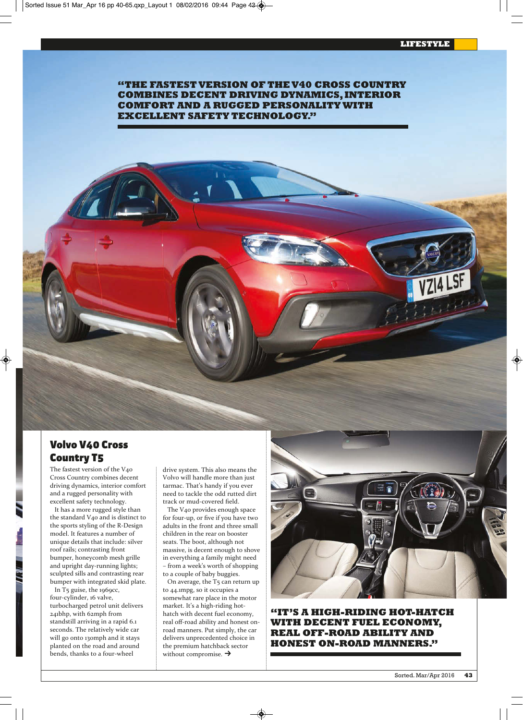**"THE FASTEST VERSION OF THE V40 CROSS COUNTRY COMBINES DECENT DRIVING DYNAMICS, INTERIOR COMFORT AND A RUGGED PERSONALITY WITH EXCELLENT SAFETY TECHNOLOGY."**

## **Volvo V40 Cross Country T5**

The fastest version of the V40 Cross Country combines decent driving dynamics, interior comfort and a rugged personality with excellent safety technology.

It has a more rugged style than the standard V40 and is distinct to the sports styling of the R-Design model. It features a number of unique details that include: silver roof rails; contrasting front bumper, honeycomb mesh grille and upright day-running lights; sculpted sills and contrasting rear bumper with integrated skid plate.

In  $T_5$  guise, the 1969cc, four-cylinder, 16 valve, turbocharged petrol unit delivers 241bhp, with 62mph from standstill arriving in a rapid 6.1 seconds. The relatively wide car will go onto 130mph and it stays planted on the road and around bends, thanks to a four-wheel

drive system. This also means the Volvo will handle more than just tarmac. That's handy if you ever need to tackle the odd rutted dirt track or mud-covered field.

The V40 provides enough space for four-up, or five if you have two adults in the front and three small children in the rear on booster seats. The boot, although not massive, is decent enough to shove in everything a family might need – from a week's worth of shopping to a couple of baby buggies.

On average, the T<sub>5</sub> can return up to 44.1mpg, so it occupies a somewhat rare place in the motor market. It's a high-riding hothatch with decent fuel economy, real off-road ability and honest onroad manners. Put simply, the car delivers unprecedented choice in the premium hatchback sector without compromise.  $\rightarrow$ 



**"IT'S A HIGH-RIDING HOT-HATCH WITH DECENT FUEL ECONOMY, REAL OFF-ROAD ABILITY AND HONEST ON-ROAD MANNERS."**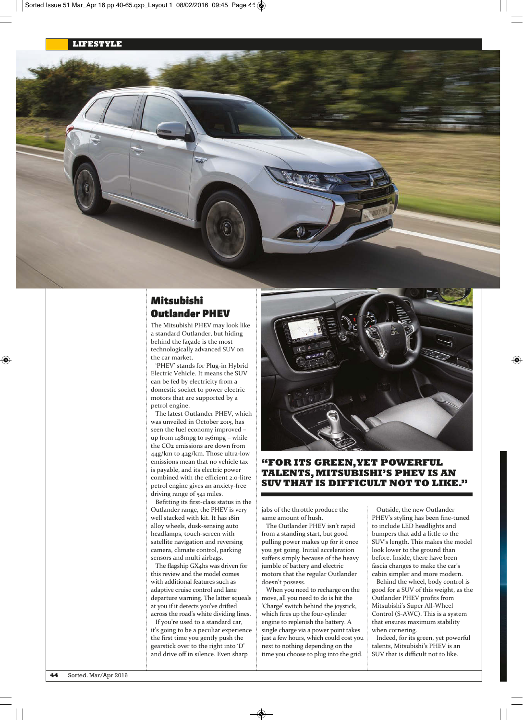

# **Mitsubishi Outlander PHEV**

The Mitsubishi PHEV may look like a standard Outlander, but hiding behind the façade is the most technologically advanced SUV on the car market.

'PHEV' stands for Plug-in Hybrid Electric Vehicle. It means the SUV can be fed by electricity from a domestic socket to power electric motors that are supported by a petrol engine.

The latest Outlander PHEV, which was unveiled in October 2015, has seen the fuel economy improved – up from 148mpg to 156mpg – while the CO2 emissions are down from 44g/km to 42g/km. Those ultra-low emissions mean that no vehicle tax is payable, and its electric power combined with the efficient 2.0-litre petrol engine gives an anxiety-free driving range of 541 miles.

Befitting its first-class status in the Outlander range, the PHEV is very well stacked with kit. It has 18in alloy wheels, dusk-sensing auto headlamps, touch-screen with satellite navigation and reversing camera, climate control, parking sensors and multi airbags.

The flagship GX4hs was driven for this review and the model comes with additional features such as adaptive cruise control and lane departure warning. The latter squeals at you if it detects you've drifted across the road's white dividing lines.

If you're used to a standard car, it's going to be a peculiar experience the first time you gently push the gearstick over to the right into 'D' and drive off in silence. Even sharp



#### **"FOR ITS GREEN, YET POWERFUL TALENTS, MITSUBISHI'S PHEV IS AN SUV THAT IS DIFFICULT NOT TO LIKE."**

jabs of the throttle produce the same amount of hush.

The Outlander PHEV isn't rapid from a standing start, but good pulling power makes up for it once you get going. Initial acceleration suffers simply because of the heavy jumble of battery and electric motors that the regular Outlander doesn't possess.

When you need to recharge on the move, all you need to do is hit the 'Charge' switch behind the joystick, which fires up the four-cylinder engine to replenish the battery. A single charge via a power point takes just a few hours, which could cost you next to nothing depending on the time you choose to plug into the grid.

Outside, the new Outlander PHEV's styling has been fine-tuned to include LED headlights and bumpers that add a little to the SUV's length. This makes the model look lower to the ground than before. Inside, there have been fascia changes to make the car's cabin simpler and more modern.

Behind the wheel, body control is good for a SUV of this weight, as the Outlander PHEV profits from Mitsubishi's Super All-Wheel Control (S-AWC). This is a system that ensures maximum stability when cornering.

Indeed, for its green, yet powerful talents, Mitsubishi's PHEV is an SUV that is difficult not to like.